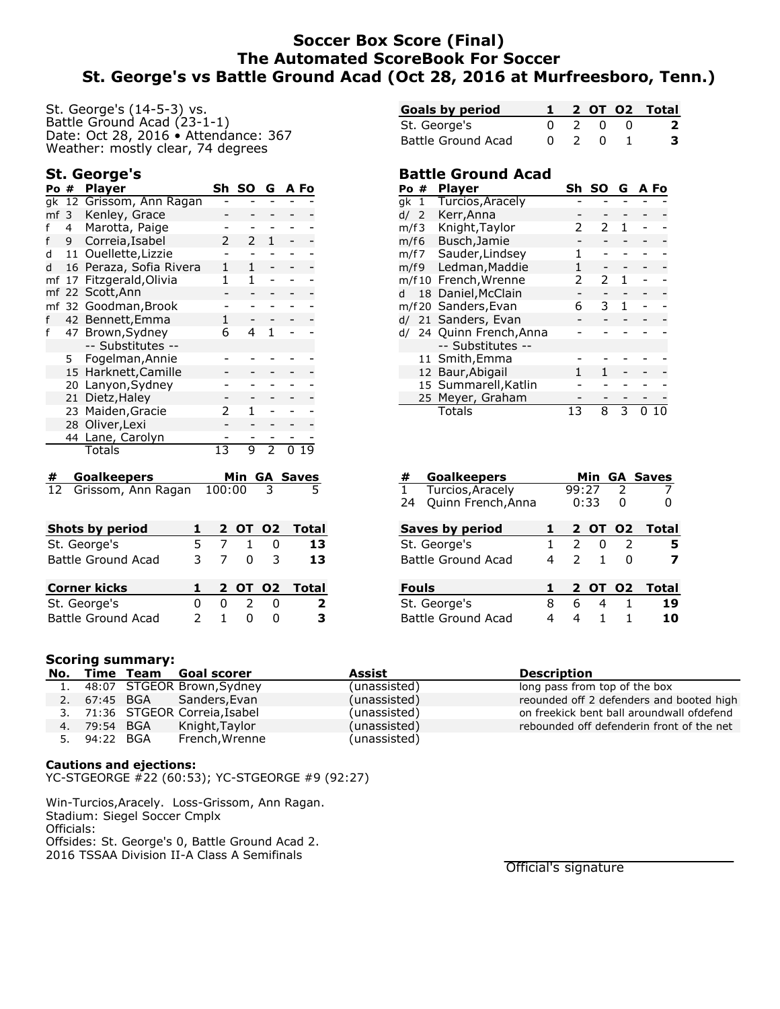# **Soccer Box Score (Final) The Automated ScoreBook For Soccer St. George's vs Battle Ground Acad (Oct 28, 2016 at Murfreesboro, Tenn.)**

St. George's (14-5-3) vs. Battle Ground Acad (23-1-1) Date: Oct 28, 2016 • Attendance: 367 Weather: mostly clear, 74 degrees

## **St. George's**

| Po#             |    | <b>Player</b>        | Sh | SΟ            | G             |   | A Fo            |
|-----------------|----|----------------------|----|---------------|---------------|---|-----------------|
| qk              | 12 | Grissom, Ann Ragan   |    |               |               |   |                 |
| mf <sub>3</sub> |    | Kenley, Grace        |    |               |               |   |                 |
| f               | 4  | Marotta, Paige       |    |               |               |   |                 |
| f               | 9  | Correia, Isabel      | 2  | $\mathcal{P}$ | 1             |   |                 |
| d               | 11 | Ouellette, Lizzie    |    |               |               |   |                 |
| d               | 16 | Peraza, Sofia Rivera | 1  | 1             |               |   |                 |
| mf              | 17 | Fitzgerald, Olivia   | 1  | 1             |               |   |                 |
| mf              | 22 | Scott, Ann           |    |               |               |   |                 |
| mf              | 32 | Goodman, Brook       |    |               |               |   |                 |
| f               | 42 | Bennett, Emma        | 1  |               |               |   |                 |
| f               | 47 | Brown, Sydney        | 6  | 4             | 1             |   |                 |
|                 |    | -- Substitutes --    |    |               |               |   |                 |
|                 | 5  | Fogelman, Annie      |    |               |               |   |                 |
|                 | 15 | Harknett, Camille    |    |               |               |   |                 |
|                 | 20 | Lanyon, Sydney       |    |               |               |   |                 |
|                 | 21 | Dietz, Haley         |    |               |               |   |                 |
|                 | 23 | Maiden, Gracie       | 2  | 1             |               |   |                 |
|                 | 28 | Oliver, Lexi         |    |               |               |   |                 |
|                 | 44 | Lane, Carolyn        |    |               |               |   |                 |
|                 |    | Totals               | 13 | 9             | $\mathcal{P}$ | n | 19              |
| #               |    | <b>Goalkeepers</b>   |    | Min           |               |   | <b>GA Saves</b> |

12 Grissom, Ann Ragan 100:00 3 5

| Shots by period     |    |                | 2 OT 02       |                | Total         |
|---------------------|----|----------------|---------------|----------------|---------------|
| St. George's        | ь. |                | $\mathbf{1}$  |                | 13            |
| Battle Ground Acad  | 3. | $\overline{7}$ | U.            | $\overline{3}$ | 13            |
|                     |    |                |               |                |               |
|                     |    |                |               |                |               |
| <b>Corner kicks</b> |    |                |               |                | 2 OT 02 Total |
| St. George's        |    | 0              | $\mathcal{L}$ |                | 2             |

| <b>Goals by period</b> |  |     | 2 OT 02 Total |
|------------------------|--|-----|---------------|
| St. George's           |  | 2 O | $\mathbf{2}$  |
| Battle Ground Acad     |  | - 0 | 3.            |

## **Battle Ground Acad**

| Po # |      | <b>Player</b>            | Sh | SΟ | G | A Fo |
|------|------|--------------------------|----|----|---|------|
| gk 1 |      | Turcios, Aracely         |    |    |   |      |
| d/   | -2   | Kerr, Anna               |    |    |   |      |
| m/f3 |      | Knight, Taylor           | 2  | 2  | 1 |      |
| m/f6 |      | Busch, Jamie             |    |    |   |      |
| m/f7 |      | Sauder, Lindsey          | 1  |    |   |      |
|      | m/f9 | Ledman, Maddie           | 1  |    |   |      |
|      |      | m/f10 French, Wrenne     | 2  | 2  | 1 |      |
| d    | 18   | Daniel, McClain          |    |    |   |      |
|      |      | m/f20 Sanders, Evan      | 6  | 3  | 1 |      |
|      |      | d/ 21 Sanders, Evan      |    |    |   |      |
|      |      | d/ 24 Quinn French, Anna |    |    |   |      |
|      |      | -- Substitutes --        |    |    |   |      |
|      |      | 11 Smith, Emma           |    |    |   |      |
|      |      | 12 Baur, Abigail         |    |    |   |      |
|      |      | 15 Summarell, Katlin     |    |    |   |      |
|      |      | 25 Meyer, Graham         |    |    |   |      |
|      |      | <b>Totals</b>            | 13 | 8  | 3 |      |
|      |      |                          |    |    |   |      |

| #<br><b>Goalkeepers</b>   |   |               |                |                | <b>Min GA Saves</b> |
|---------------------------|---|---------------|----------------|----------------|---------------------|
| 1 Turcios, Aracely        |   | 99:27         |                | $\mathcal{P}$  |                     |
| Quinn French, Anna<br>24  |   |               | 0:33           | 0              |                     |
| <b>Saves by period</b>    | 1 |               |                | 2 OT 02        | Total               |
| St. George's              | 1 | $\mathcal{L}$ | 0              | $\mathcal{L}$  | 5                   |
| Battle Ground Acad        | 4 | $\mathcal{P}$ | $\mathbf{1}$   | <sup>0</sup>   | 7                   |
| <b>Fouls</b>              | 1 |               |                | 2 OT 02        | <b>Total</b>        |
| St. George's              | 8 | 6             | $\overline{4}$ | $\overline{1}$ | 19                  |
| <b>Battle Ground Acad</b> | 4 | 4             | 1              |                | 10                  |
|                           |   |               |                |                |                     |

#### **Scoring summary:**

|              | No. Time Team Goal scorer       | Assist       | <b>Description</b>                        |
|--------------|---------------------------------|--------------|-------------------------------------------|
|              | 1. 48:07 STGEOR Brown, Sydney   | (unassisted) | long pass from top of the box             |
|              | 2. 67:45 BGA Sanders, Evan      | (unassisted) | reounded off 2 defenders and booted high  |
|              | 3. 71:36 STGEOR Correia, Isabel | (unassisted) | on freekick bent ball aroundwall ofdefend |
| 4. 79:54 BGA | Knight, Taylor                  | (unassisted) | rebounded off defenderin front of the net |
| 5. 94:22 BGA | French, Wrenne                  | (unassisted) |                                           |

#### **Cautions and ejections:**

YC-STGEORGE #22 (60:53); YC-STGEORGE #9 (92:27)

Win-Turcios,Aracely. Loss-Grissom, Ann Ragan. Stadium: Siegel Soccer Cmplx Officials: Offsides: St. George's 0, Battle Ground Acad 2. 2016 TSSAA Division II-A Class A Semifinals

Official's signature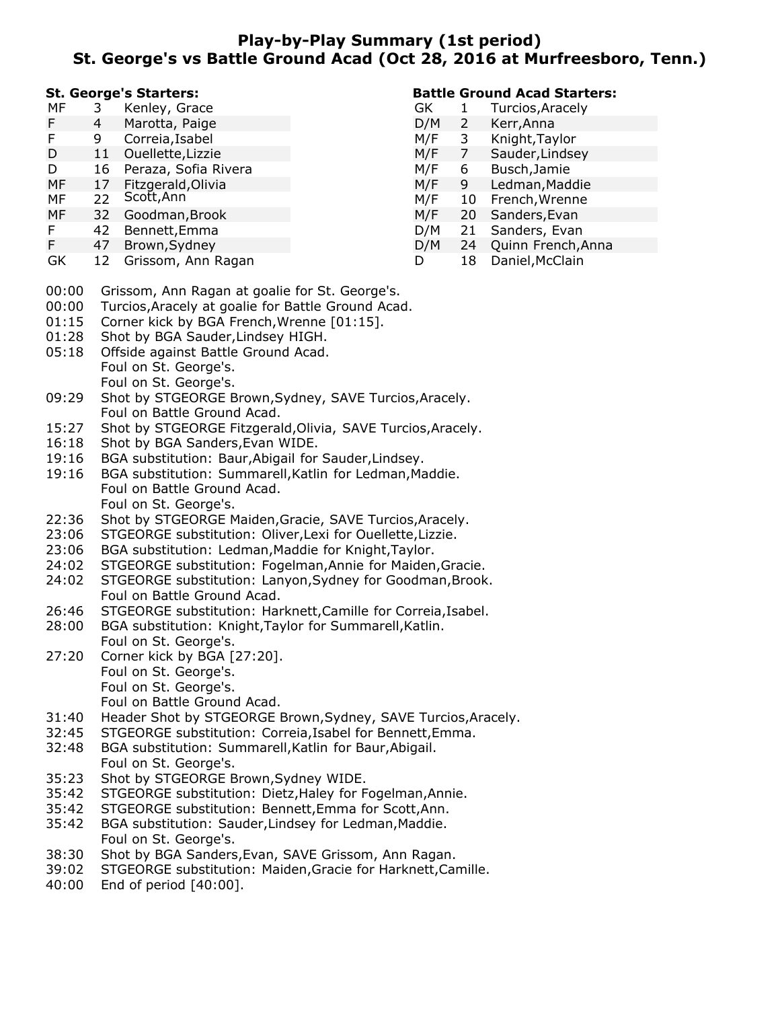# **Play-by-Play Summary (1st period) St. George's vs Battle Ground Acad (Oct 28, 2016 at Murfreesboro, Tenn.)**

#### **St. George's Starters:**

| МF | 3  | Kenley, Grace        |
|----|----|----------------------|
| F  | 4  | Marotta, Paige       |
| F  | 9. | Correia, Isabel      |
| D  | 11 | Ouellette, Lizzie    |
| D  | 16 | Peraza, Sofia Rivera |
| MF | 17 | Fitzgerald, Olivia   |
| MF | 22 | Scott, Ann           |
| MF | 32 | Goodman, Brook       |
| F  | 42 | Bennett, Emma        |

#### **Battle Ground Acad Starters:**

| GK  | 1  | Turcios, Aracely   |  |
|-----|----|--------------------|--|
| D/M | 2  | Kerr, Anna         |  |
| M/F | 3  | Knight, Taylor     |  |
| M/F | 7  | Sauder, Lindsey    |  |
| M/F | 6  | Busch, Jamie       |  |
| M/F | 9  | Ledman, Maddie     |  |
| M/F | 10 | French, Wrenne     |  |
| M/F | 20 | Sanders, Evan      |  |
| D/M | 21 | Sanders, Evan      |  |
| D/M | 24 | Quinn French, Anna |  |
| D   | 18 | Daniel, McClain    |  |

GK 12 Grissom, Ann Ragan

F 47 Brown,Sydney

- 00:00 Grissom, Ann Ragan at goalie for St. George's.
- 00:00 Turcios,Aracely at goalie for Battle Ground Acad.
- 01:15 Corner kick by BGA French,Wrenne [01:15].
- 01:28 Shot by BGA Sauder,Lindsey HIGH.
- 05:18 Offside against Battle Ground Acad. Foul on St. George's. Foul on St. George's.
- 09:29 Shot by STGEORGE Brown,Sydney, SAVE Turcios,Aracely. Foul on Battle Ground Acad.
- 15:27 Shot by STGEORGE Fitzgerald,Olivia, SAVE Turcios,Aracely.
- 16:18 Shot by BGA Sanders,Evan WIDE.
- 19:16 BGA substitution: Baur,Abigail for Sauder,Lindsey.
- 19:16 BGA substitution: Summarell,Katlin for Ledman,Maddie. Foul on Battle Ground Acad. Foul on St. George's.
- 22:36 Shot by STGEORGE Maiden,Gracie, SAVE Turcios,Aracely.
- 23:06 STGEORGE substitution: Oliver,Lexi for Ouellette,Lizzie.
- 23:06 BGA substitution: Ledman,Maddie for Knight,Taylor.
- 24:02 STGEORGE substitution: Fogelman,Annie for Maiden,Gracie.
- 24:02 STGEORGE substitution: Lanyon,Sydney for Goodman,Brook. Foul on Battle Ground Acad.
- 26:46 STGEORGE substitution: Harknett,Camille for Correia,Isabel.
- 28:00 BGA substitution: Knight,Taylor for Summarell,Katlin. Foul on St. George's.
- 27:20 Corner kick by BGA [27:20]. Foul on St. George's. Foul on St. George's.
	- Foul on Battle Ground Acad.
- 31:40 Header Shot by STGEORGE Brown,Sydney, SAVE Turcios,Aracely.
- 32:45 STGEORGE substitution: Correia,Isabel for Bennett,Emma.
- 32:48 BGA substitution: Summarell,Katlin for Baur,Abigail. Foul on St. George's.
- 35:23 Shot by STGEORGE Brown,Sydney WIDE.
- 35:42 STGEORGE substitution: Dietz,Haley for Fogelman,Annie.
- 35:42 STGEORGE substitution: Bennett,Emma for Scott,Ann.
- 35:42 BGA substitution: Sauder,Lindsey for Ledman,Maddie. Foul on St. George's.
- 38:30 Shot by BGA Sanders,Evan, SAVE Grissom, Ann Ragan.
- 39:02 STGEORGE substitution: Maiden,Gracie for Harknett,Camille.
- 40:00 End of period [40:00].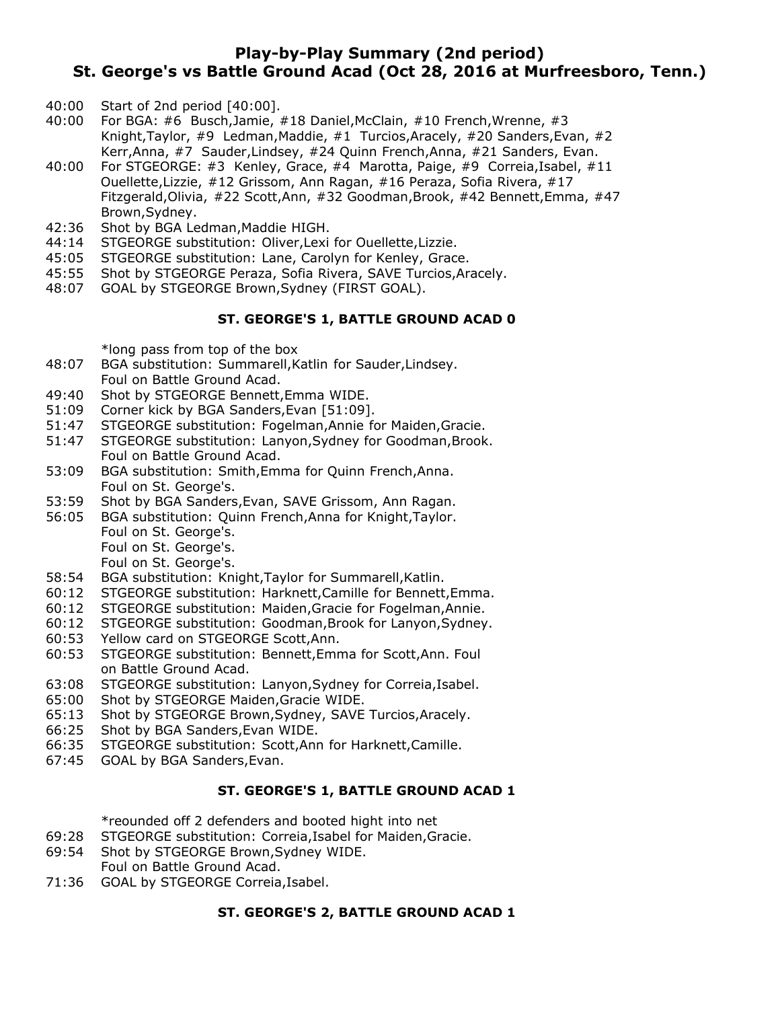# **Play-by-Play Summary (2nd period) St. George's vs Battle Ground Acad (Oct 28, 2016 at Murfreesboro, Tenn.)**

- 40:00 Start of 2nd period [40:00].
- 40:00 For BGA: #6 Busch,Jamie, #18 Daniel,McClain, #10 French,Wrenne, #3 Knight,Taylor, #9 Ledman,Maddie, #1 Turcios,Aracely, #20 Sanders,Evan, #2 Kerr,Anna, #7 Sauder,Lindsey, #24 Quinn French,Anna, #21 Sanders, Evan.
- 40:00 For STGEORGE: #3 Kenley, Grace, #4 Marotta, Paige, #9 Correia,Isabel, #11 Ouellette,Lizzie, #12 Grissom, Ann Ragan, #16 Peraza, Sofia Rivera, #17 Fitzgerald,Olivia, #22 Scott,Ann, #32 Goodman,Brook, #42 Bennett,Emma, #47 Brown,Sydney.
- 42:36 Shot by BGA Ledman,Maddie HIGH.
- 44:14 STGEORGE substitution: Oliver,Lexi for Ouellette,Lizzie.
- 45:05 STGEORGE substitution: Lane, Carolyn for Kenley, Grace.
- 45:55 Shot by STGEORGE Peraza, Sofia Rivera, SAVE Turcios, Aracely.<br>48:07 GOAL by STGEORGE Brown, Sydney (FIRST GOAL).
- 48:07 GOAL by STGEORGE Brown,Sydney (FIRST GOAL).

#### **ST. GEORGE'S 1, BATTLE GROUND ACAD 0**

\*long pass from top of the box

- 48:07 BGA substitution: Summarell,Katlin for Sauder,Lindsey. Foul on Battle Ground Acad.
- 49:40 Shot by STGEORGE Bennett,Emma WIDE.
- 51:09 Corner kick by BGA Sanders,Evan [51:09].
- 51:47 STGEORGE substitution: Fogelman,Annie for Maiden,Gracie.
- 51:47 STGEORGE substitution: Lanyon,Sydney for Goodman,Brook. Foul on Battle Ground Acad.
- 53:09 BGA substitution: Smith,Emma for Quinn French,Anna. Foul on St. George's.
- 53:59 Shot by BGA Sanders,Evan, SAVE Grissom, Ann Ragan.
- 56:05 BGA substitution: Quinn French,Anna for Knight,Taylor. Foul on St. George's.
	- Foul on St. George's.
		- Foul on St. George's.
- 58:54 BGA substitution: Knight,Taylor for Summarell,Katlin.
- 60:12 STGEORGE substitution: Harknett,Camille for Bennett,Emma.
- 60:12 STGEORGE substitution: Maiden,Gracie for Fogelman,Annie.
- 60:12 STGEORGE substitution: Goodman, Brook for Lanyon, Sydney.<br>60:53 Yellow card on STGEORGE Scott, Ann.
- Yellow card on STGEORGE Scott,Ann.
- 60:53 STGEORGE substitution: Bennett,Emma for Scott,Ann. Foul on Battle Ground Acad.
- 63:08 STGEORGE substitution: Lanyon,Sydney for Correia,Isabel.
- 65:00 Shot by STGEORGE Maiden,Gracie WIDE.
- 65:13 Shot by STGEORGE Brown,Sydney, SAVE Turcios,Aracely.
- 66:25 Shot by BGA Sanders,Evan WIDE.
- 66:35 STGEORGE substitution: Scott,Ann for Harknett,Camille.
- 67:45 GOAL by BGA Sanders,Evan.

## **ST. GEORGE'S 1, BATTLE GROUND ACAD 1**

\*reounded off 2 defenders and booted hight into net

- 69:28 STGEORGE substitution: Correia,Isabel for Maiden,Gracie.
- 69:54 Shot by STGEORGE Brown,Sydney WIDE.
- Foul on Battle Ground Acad.
- 71:36 GOAL by STGEORGE Correia,Isabel.

#### **ST. GEORGE'S 2, BATTLE GROUND ACAD 1**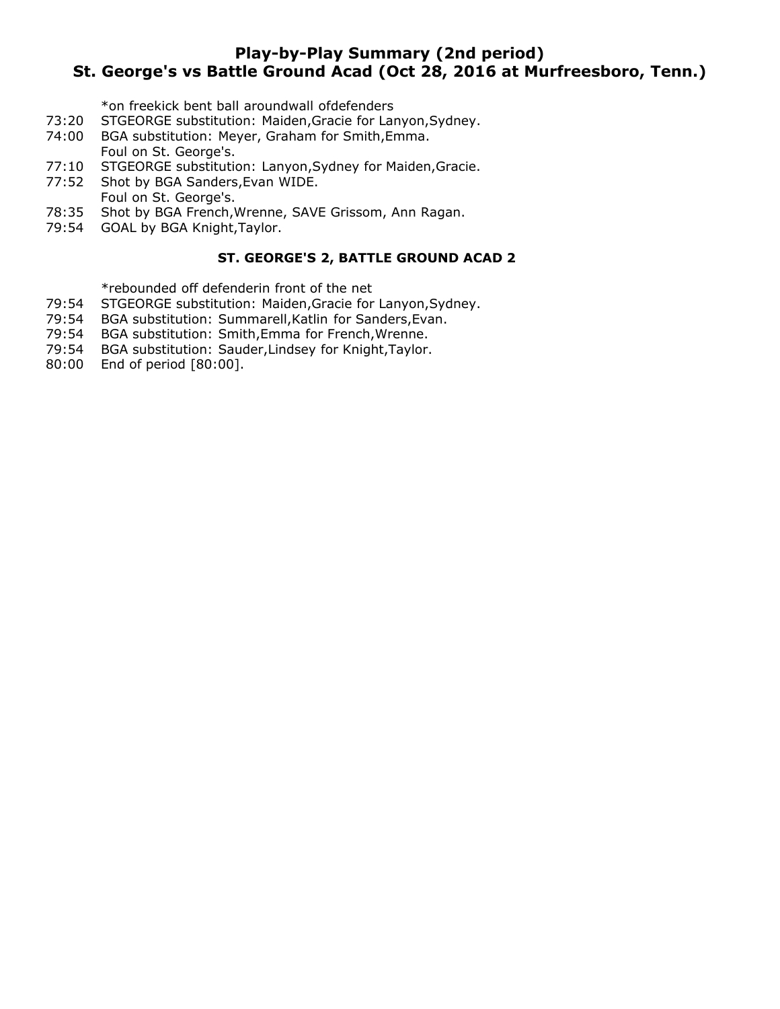# **Play-by-Play Summary (2nd period) St. George's vs Battle Ground Acad (Oct 28, 2016 at Murfreesboro, Tenn.)**

\*on freekick bent ball aroundwall ofdefenders

- 73:20 STGEORGE substitution: Maiden,Gracie for Lanyon,Sydney.
- 74:00 BGA substitution: Meyer, Graham for Smith,Emma. Foul on St. George's.
- 77:10 STGEORGE substitution: Lanyon, Sydney for Maiden, Gracie.<br>77:52 Shot by BGA Sanders, Evan WIDE.
- Shot by BGA Sanders, Evan WIDE.
- Foul on St. George's.
- 78:35 Shot by BGA French,Wrenne, SAVE Grissom, Ann Ragan.
- 79:54 GOAL by BGA Knight,Taylor.

### **ST. GEORGE'S 2, BATTLE GROUND ACAD 2**

\*rebounded off defenderin front of the net

- 79:54 STGEORGE substitution: Maiden,Gracie for Lanyon,Sydney.
- 79:54 BGA substitution: Summarell,Katlin for Sanders,Evan.
- 79:54 BGA substitution: Smith,Emma for French,Wrenne.
- 79:54 BGA substitution: Sauder,Lindsey for Knight,Taylor.
- 80:00 End of period [80:00].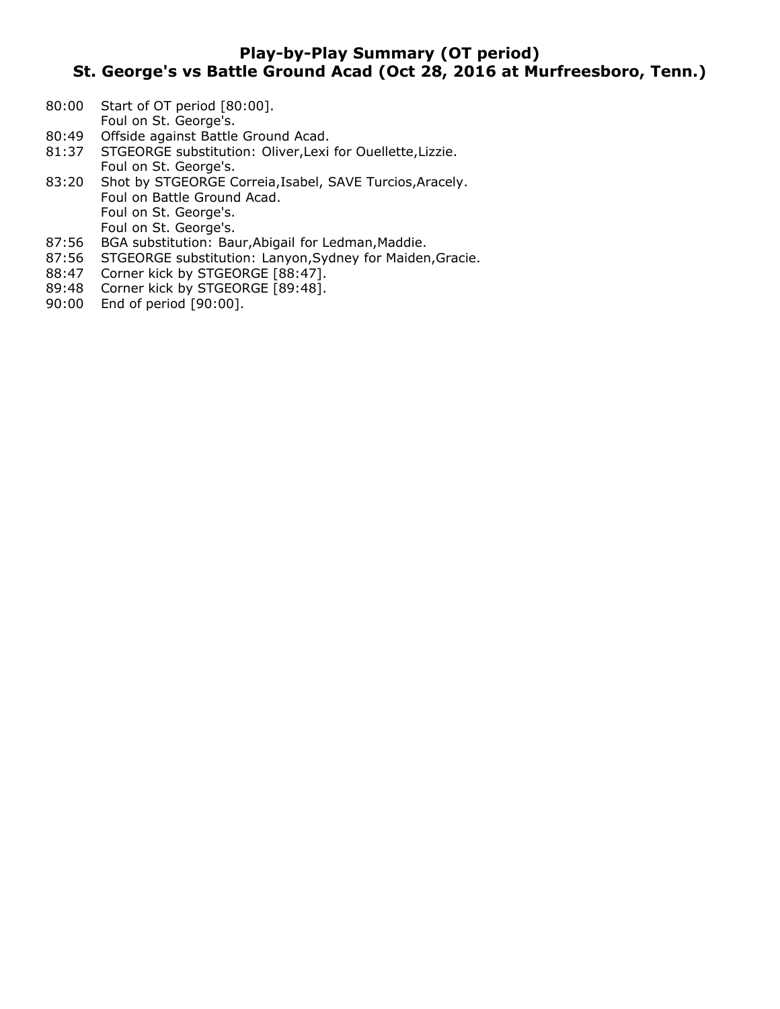# **Play-by-Play Summary (OT period) St. George's vs Battle Ground Acad (Oct 28, 2016 at Murfreesboro, Tenn.)**

- 80:00 Start of OT period [80:00].
- Foul on St. George's.
- 80:49 Offside against Battle Ground Acad.
- 81:37 STGEORGE substitution: Oliver,Lexi for Ouellette,Lizzie. Foul on St. George's.
- 83:20 Shot by STGEORGE Correia,Isabel, SAVE Turcios,Aracely. Foul on Battle Ground Acad. Foul on St. George's. Foul on St. George's.
- 87:56 BGA substitution: Baur,Abigail for Ledman,Maddie.
- 87:56 STGEORGE substitution: Lanyon,Sydney for Maiden,Gracie.
- 88:47 Corner kick by STGEORGE [88:47].
- 89:48 Corner kick by STGEORGE [89:48].
- 90:00 End of period [90:00].